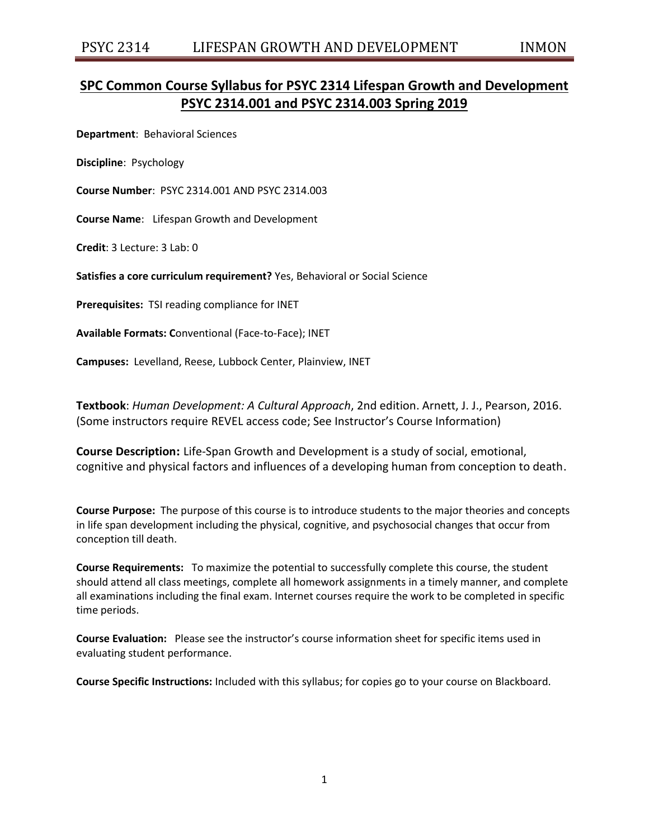# **SPC Common Course Syllabus for PSYC 2314 Lifespan Growth and Development PSYC 2314.001 and PSYC 2314.003 Spring 2019**

**Department**: Behavioral Sciences

**Discipline**: Psychology

**Course Number**: PSYC 2314.001 AND PSYC 2314.003

**Course Name**: Lifespan Growth and Development

**Credit**: 3 Lecture: 3 Lab: 0

**Satisfies a core curriculum requirement?** Yes, Behavioral or Social Science

**Prerequisites:** TSI reading compliance for INET

**Available Formats: C**onventional (Face-to-Face); INET

**Campuses:** Levelland, Reese, Lubbock Center, Plainview, INET

**Textbook**: *Human Development: A Cultural Approach*, 2nd edition. Arnett, J. J., Pearson, 2016. (Some instructors require REVEL access code; See Instructor's Course Information)

**Course Description:** Life-Span Growth and Development is a study of social, emotional, cognitive and physical factors and influences of a developing human from conception to death.

**Course Purpose:** The purpose of this course is to introduce students to the major theories and concepts in life span development including the physical, cognitive, and psychosocial changes that occur from conception till death.

**Course Requirements:** To maximize the potential to successfully complete this course, the student should attend all class meetings, complete all homework assignments in a timely manner, and complete all examinations including the final exam. Internet courses require the work to be completed in specific time periods.

**Course Evaluation:** Please see the instructor's course information sheet for specific items used in evaluating student performance.

**Course Specific Instructions:** Included with this syllabus; for copies go to your course on Blackboard.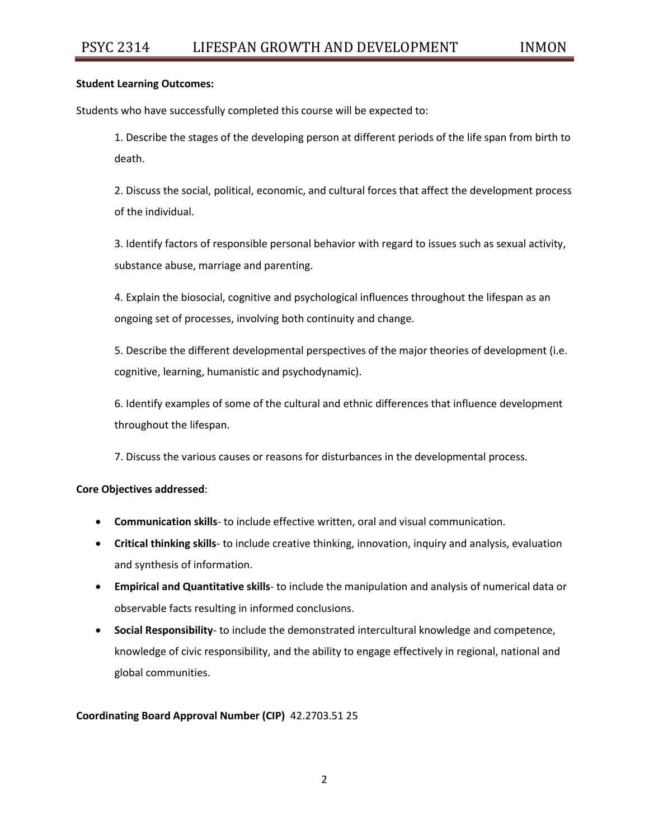#### **Student Learning Outcomes:**

Students who have successfully completed this course will be expected to:

1. Describe the stages of the developing person at different periods of the life span from birth to death.

2. Discuss the social, political, economic, and cultural forces that affect the development process of the individual.

3. Identify factors of responsible personal behavior with regard to issues such as sexual activity, substance abuse, marriage and parenting.

4. Explain the biosocial, cognitive and psychological influences throughout the lifespan as an ongoing set of processes, involving both continuity and change.

5. Describe the different developmental perspectives of the major theories of development (i.e. cognitive, learning, humanistic and psychodynamic).

6. Identify examples of some of the cultural and ethnic differences that influence development throughout the lifespan.

7. Discuss the various causes or reasons for disturbances in the developmental process.

# **Core Objectives addressed**:

- **Communication skills** to include effective written, oral and visual communication.
- **Critical thinking skills** to include creative thinking, innovation, inquiry and analysis, evaluation and synthesis of information.
- **Empirical and Quantitative skills** to include the manipulation and analysis of numerical data or observable facts resulting in informed conclusions.
- **Social Responsibility** to include the demonstrated intercultural knowledge and competence, knowledge of civic responsibility, and the ability to engage effectively in regional, national and global communities.

# **Coordinating Board Approval Number (CIP)** 42.2703.51 25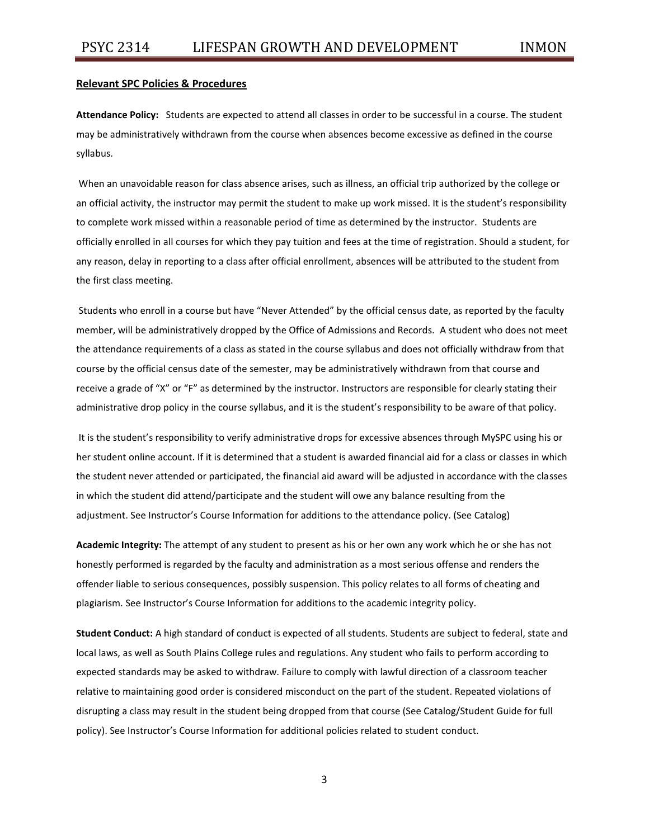#### **Relevant SPC Policies & Procedures**

**Attendance Policy:** Students are expected to attend all classes in order to be successful in a course. The student may be administratively withdrawn from the course when absences become excessive as defined in the course syllabus.

When an unavoidable reason for class absence arises, such as illness, an official trip authorized by the college or an official activity, the instructor may permit the student to make up work missed. It is the student's responsibility to complete work missed within a reasonable period of time as determined by the instructor. Students are officially enrolled in all courses for which they pay tuition and fees at the time of registration. Should a student, for any reason, delay in reporting to a class after official enrollment, absences will be attributed to the student from the first class meeting.

Students who enroll in a course but have "Never Attended" by the official census date, as reported by the faculty member, will be administratively dropped by the Office of Admissions and Records. A student who does not meet the attendance requirements of a class as stated in the course syllabus and does not officially withdraw from that course by the official census date of the semester, may be administratively withdrawn from that course and receive a grade of "X" or "F" as determined by the instructor. Instructors are responsible for clearly stating their administrative drop policy in the course syllabus, and it is the student's responsibility to be aware of that policy.

It is the student's responsibility to verify administrative drops for excessive absences through MySPC using his or her student online account. If it is determined that a student is awarded financial aid for a class or classes in which the student never attended or participated, the financial aid award will be adjusted in accordance with the classes in which the student did attend/participate and the student will owe any balance resulting from the adjustment. See Instructor's Course Information for additions to the attendance policy. (See Catalog)

**Academic Integrity:** The attempt of any student to present as his or her own any work which he or she has not honestly performed is regarded by the faculty and administration as a most serious offense and renders the offender liable to serious consequences, possibly suspension. This policy relates to all forms of cheating and plagiarism. See Instructor's Course Information for additions to the academic integrity policy.

**Student Conduct:** A high standard of conduct is expected of all students. Students are subject to federal, state and local laws, as well as South Plains College rules and regulations. Any student who fails to perform according to expected standards may be asked to withdraw. Failure to comply with lawful direction of a classroom teacher relative to maintaining good order is considered misconduct on the part of the student. Repeated violations of disrupting a class may result in the student being dropped from that course (See Catalog/Student Guide for full policy). See Instructor's Course Information for additional policies related to student conduct.

3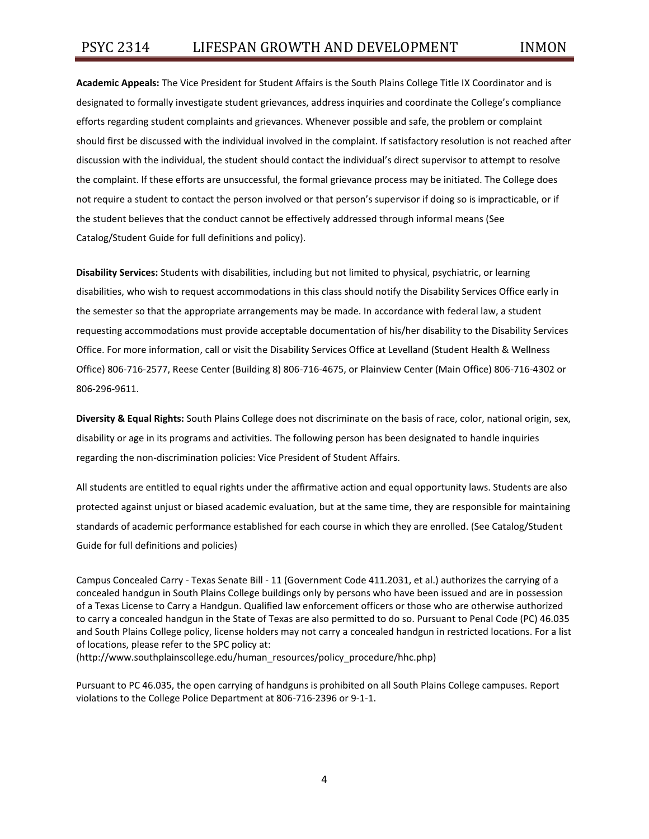**Academic Appeals:** The Vice President for Student Affairs is the South Plains College Title IX Coordinator and is designated to formally investigate student grievances, address inquiries and coordinate the College's compliance efforts regarding student complaints and grievances. Whenever possible and safe, the problem or complaint should first be discussed with the individual involved in the complaint. If satisfactory resolution is not reached after discussion with the individual, the student should contact the individual's direct supervisor to attempt to resolve the complaint. If these efforts are unsuccessful, the formal grievance process may be initiated. The College does not require a student to contact the person involved or that person's supervisor if doing so is impracticable, or if the student believes that the conduct cannot be effectively addressed through informal means (See Catalog/Student Guide for full definitions and policy).

**Disability Services:** Students with disabilities, including but not limited to physical, psychiatric, or learning disabilities, who wish to request accommodations in this class should notify the Disability Services Office early in the semester so that the appropriate arrangements may be made. In accordance with federal law, a student requesting accommodations must provide acceptable documentation of his/her disability to the Disability Services Office. For more information, call or visit the Disability Services Office at Levelland (Student Health & Wellness Office) 806-716-2577, Reese Center (Building 8) 806-716-4675, or Plainview Center (Main Office) 806-716-4302 or 806-296-9611.

**Diversity & Equal Rights:** South Plains College does not discriminate on the basis of race, color, national origin, sex, disability or age in its programs and activities. The following person has been designated to handle inquiries regarding the non-discrimination policies: Vice President of Student Affairs.

All students are entitled to equal rights under the affirmative action and equal opportunity laws. Students are also protected against unjust or biased academic evaluation, but at the same time, they are responsible for maintaining standards of academic performance established for each course in which they are enrolled. (See Catalog/Student Guide for full definitions and policies)

Campus Concealed Carry - Texas Senate Bill - 11 (Government Code 411.2031, et al.) authorizes the carrying of a concealed handgun in South Plains College buildings only by persons who have been issued and are in possession of a Texas License to Carry a Handgun. Qualified law enforcement officers or those who are otherwise authorized to carry a concealed handgun in the State of Texas are also permitted to do so. Pursuant to Penal Code (PC) 46.035 and South Plains College policy, license holders may not carry a concealed handgun in restricted locations. For a list of locations, please refer to the SPC policy at:

(http://www.southplainscollege.edu/human\_resources/policy\_procedure/hhc.php)

Pursuant to PC 46.035, the open carrying of handguns is prohibited on all South Plains College campuses. Report violations to the College Police Department at 806-716-2396 or 9-1-1.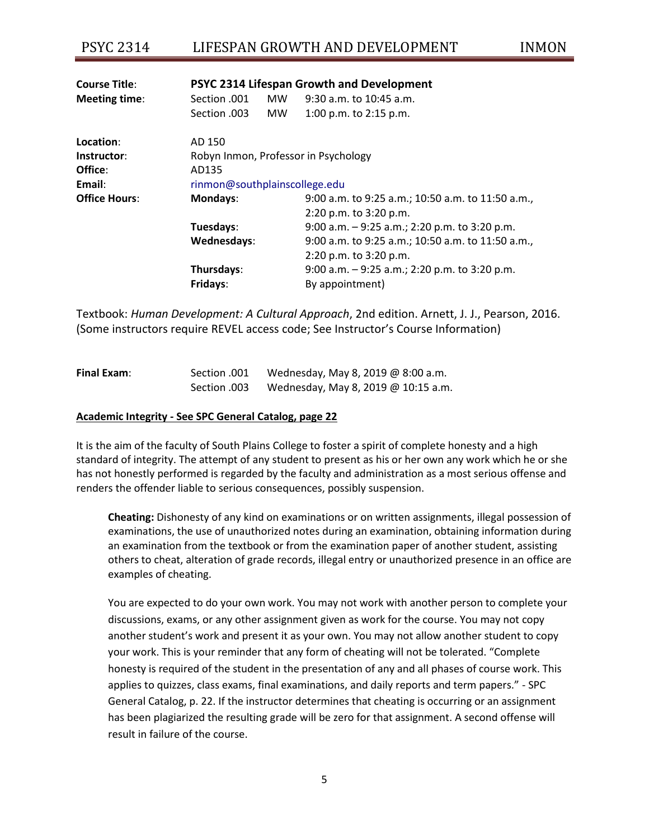# PSYC 2314 LIFESPAN GROWTH AND DEVELOPMENT INMON

| <b>Course Title:</b> | PSYC 2314 Lifespan Growth and Development |     |                                                   |  |  |  |
|----------------------|-------------------------------------------|-----|---------------------------------------------------|--|--|--|
| Meeting time:        | Section .001                              | MW. | $9:30$ a.m. to 10:45 a.m.                         |  |  |  |
|                      | Section .003                              | MW. | 1:00 p.m. to 2:15 p.m.                            |  |  |  |
| Location:            | AD 150                                    |     |                                                   |  |  |  |
| Instructor:          | Robyn Inmon, Professor in Psychology      |     |                                                   |  |  |  |
| Office:              | AD135                                     |     |                                                   |  |  |  |
| Email:               | rinmon@southplainscollege.edu             |     |                                                   |  |  |  |
| <b>Office Hours:</b> | Mondays:                                  |     | 9:00 a.m. to 9:25 a.m.; 10:50 a.m. to 11:50 a.m., |  |  |  |
|                      |                                           |     | $2:20$ p.m. to $3:20$ p.m.                        |  |  |  |
|                      | Tuesdays:                                 |     | 9:00 a.m. $-$ 9:25 a.m.; 2:20 p.m. to 3:20 p.m.   |  |  |  |
|                      | Wednesdays:                               |     | 9:00 a.m. to 9:25 a.m.; 10:50 a.m. to 11:50 a.m., |  |  |  |
|                      |                                           |     | $2:20$ p.m. to $3:20$ p.m.                        |  |  |  |
|                      | Thursdays:                                |     | 9:00 a.m. $-$ 9:25 a.m.; 2:20 p.m. to 3:20 p.m.   |  |  |  |
|                      | Fridays:                                  |     | By appointment)                                   |  |  |  |

Textbook: *Human Development: A Cultural Approach*, 2nd edition. Arnett, J. J., Pearson, 2016. (Some instructors require REVEL access code; See Instructor's Course Information)

| <b>Final Exam:</b> | Section .001 | Wednesday, May 8, 2019 @ 8:00 a.m.  |
|--------------------|--------------|-------------------------------------|
|                    | Section .003 | Wednesday, May 8, 2019 @ 10:15 a.m. |

#### **Academic Integrity - See SPC General Catalog, page 22**

It is the aim of the faculty of South Plains College to foster a spirit of complete honesty and a high standard of integrity. The attempt of any student to present as his or her own any work which he or she has not honestly performed is regarded by the faculty and administration as a most serious offense and renders the offender liable to serious consequences, possibly suspension.

**Cheating:** Dishonesty of any kind on examinations or on written assignments, illegal possession of examinations, the use of unauthorized notes during an examination, obtaining information during an examination from the textbook or from the examination paper of another student, assisting others to cheat, alteration of grade records, illegal entry or unauthorized presence in an office are examples of cheating.

You are expected to do your own work. You may not work with another person to complete your discussions, exams, or any other assignment given as work for the course. You may not copy another student's work and present it as your own. You may not allow another student to copy your work. This is your reminder that any form of cheating will not be tolerated. "Complete honesty is required of the student in the presentation of any and all phases of course work. This applies to quizzes, class exams, final examinations, and daily reports and term papers." - SPC General Catalog, p. 22. If the instructor determines that cheating is occurring or an assignment has been plagiarized the resulting grade will be zero for that assignment. A second offense will result in failure of the course.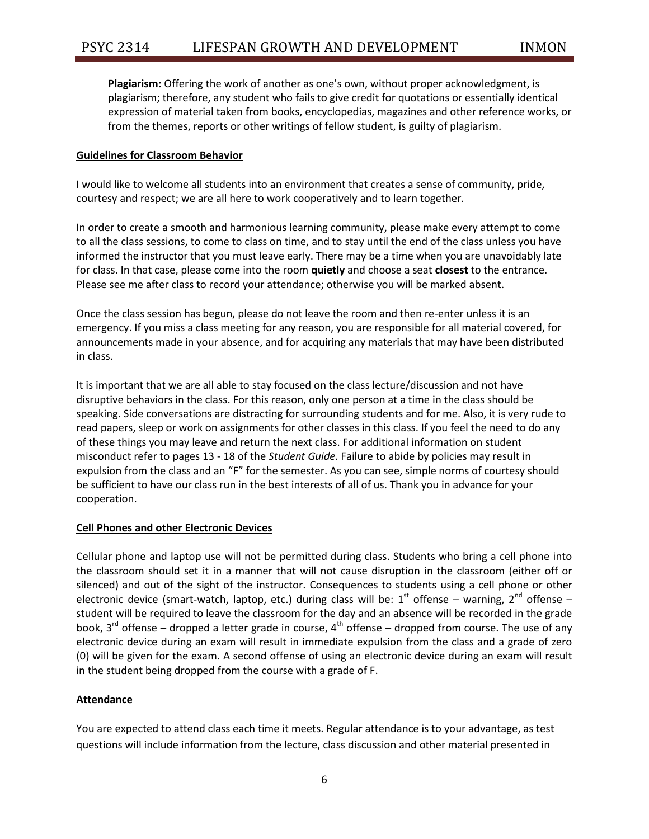**Plagiarism:** Offering the work of another as one's own, without proper acknowledgment, is plagiarism; therefore, any student who fails to give credit for quotations or essentially identical expression of material taken from books, encyclopedias, magazines and other reference works, or from the themes, reports or other writings of fellow student, is guilty of plagiarism.

# **Guidelines for Classroom Behavior**

I would like to welcome all students into an environment that creates a sense of community, pride, courtesy and respect; we are all here to work cooperatively and to learn together.

In order to create a smooth and harmonious learning community, please make every attempt to come to all the class sessions, to come to class on time, and to stay until the end of the class unless you have informed the instructor that you must leave early. There may be a time when you are unavoidably late for class. In that case, please come into the room **quietly** and choose a seat **closest** to the entrance. Please see me after class to record your attendance; otherwise you will be marked absent.

Once the class session has begun, please do not leave the room and then re-enter unless it is an emergency. If you miss a class meeting for any reason, you are responsible for all material covered, for announcements made in your absence, and for acquiring any materials that may have been distributed in class.

It is important that we are all able to stay focused on the class lecture/discussion and not have disruptive behaviors in the class. For this reason, only one person at a time in the class should be speaking. Side conversations are distracting for surrounding students and for me. Also, it is very rude to read papers, sleep or work on assignments for other classes in this class. If you feel the need to do any of these things you may leave and return the next class. For additional information on student misconduct refer to pages 13 - 18 of the *Student Guide*. Failure to abide by policies may result in expulsion from the class and an "F" for the semester. As you can see, simple norms of courtesy should be sufficient to have our class run in the best interests of all of us. Thank you in advance for your cooperation.

# **Cell Phones and other Electronic Devices**

Cellular phone and laptop use will not be permitted during class. Students who bring a cell phone into the classroom should set it in a manner that will not cause disruption in the classroom (either off or silenced) and out of the sight of the instructor. Consequences to students using a cell phone or other electronic device (smart-watch, laptop, etc.) during class will be:  $1^{st}$  offense – warning,  $2^{nd}$  offense – student will be required to leave the classroom for the day and an absence will be recorded in the grade book,  $3^{rd}$  offense – dropped a letter grade in course,  $4^{th}$  offense – dropped from course. The use of any electronic device during an exam will result in immediate expulsion from the class and a grade of zero (0) will be given for the exam. A second offense of using an electronic device during an exam will result in the student being dropped from the course with a grade of F.

# **Attendance**

You are expected to attend class each time it meets. Regular attendance is to your advantage, as test questions will include information from the lecture, class discussion and other material presented in